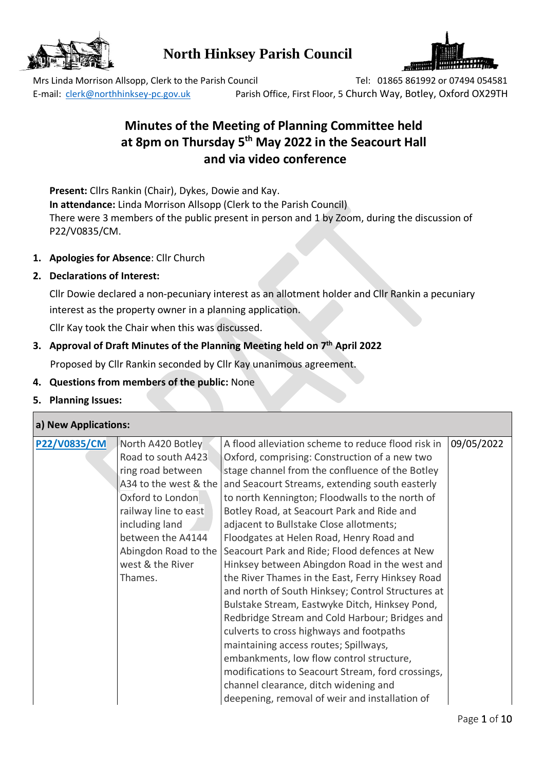

# **North Hinksey Parish Council**



Mrs Linda Morrison Allsopp, Clerk to the Parish Council Tel: 01865 861992 or 07494 054581 E-mail: [clerk@northhinksey-pc.gov.uk](mailto:clerk@northhinksey-pc.gov.uk) Parish Office, First Floor, 5 Church Way, Botley, Oxford OX29TH

# **Minutes of the Meeting of Planning Committee held at 8pm on Thursday 5 th May 2022 in the Seacourt Hall and via video conference**

**Present:** Cllrs Rankin (Chair), Dykes, Dowie and Kay. **In attendance:** Linda Morrison Allsopp (Clerk to the Parish Council) There were 3 members of the public present in person and 1 by Zoom, during the discussion of P22/V0835/CM.

- **1. Apologies for Absence**: Cllr Church
- **2. Declarations of Interest:**

Cllr Dowie declared a non-pecuniary interest as an allotment holder and Cllr Rankin a pecuniary interest as the property owner in a planning application.

Cllr Kay took the Chair when this was discussed.

#### **3. Approval of Draft Minutes of the Planning Meeting held on 7 th April 2022**

Proposed by Cllr Rankin seconded by Cllr Kay unanimous agreement.

- **4. Questions from members of the public:** None
- **5. Planning Issues:**

| a) New Applications: |  |
|----------------------|--|
|                      |  |

| <b>P22/V0835/CM</b> | North A420 Botley     | A flood alleviation scheme to reduce flood risk in | 09/05/2022 |
|---------------------|-----------------------|----------------------------------------------------|------------|
|                     | Road to south A423    | Oxford, comprising: Construction of a new two      |            |
|                     | ring road between     | stage channel from the confluence of the Botley    |            |
|                     | A34 to the west & the | and Seacourt Streams, extending south easterly     |            |
|                     | Oxford to London      | to north Kennington; Floodwalls to the north of    |            |
|                     | railway line to east  | Botley Road, at Seacourt Park and Ride and         |            |
|                     | including land        | adjacent to Bullstake Close allotments;            |            |
|                     | between the A4144     | Floodgates at Helen Road, Henry Road and           |            |
|                     | Abingdon Road to the  | Seacourt Park and Ride; Flood defences at New      |            |
|                     | west & the River      | Hinksey between Abingdon Road in the west and      |            |
|                     | Thames.               | the River Thames in the East, Ferry Hinksey Road   |            |
|                     |                       | and north of South Hinksey; Control Structures at  |            |
|                     |                       | Bulstake Stream, Eastwyke Ditch, Hinksey Pond,     |            |
|                     |                       | Redbridge Stream and Cold Harbour; Bridges and     |            |
|                     |                       | culverts to cross highways and footpaths           |            |
|                     |                       | maintaining access routes; Spillways,              |            |
|                     |                       | embankments, low flow control structure,           |            |
|                     |                       | modifications to Seacourt Stream, ford crossings,  |            |
|                     |                       | channel clearance, ditch widening and              |            |
|                     |                       | deepening, removal of weir and installation of     |            |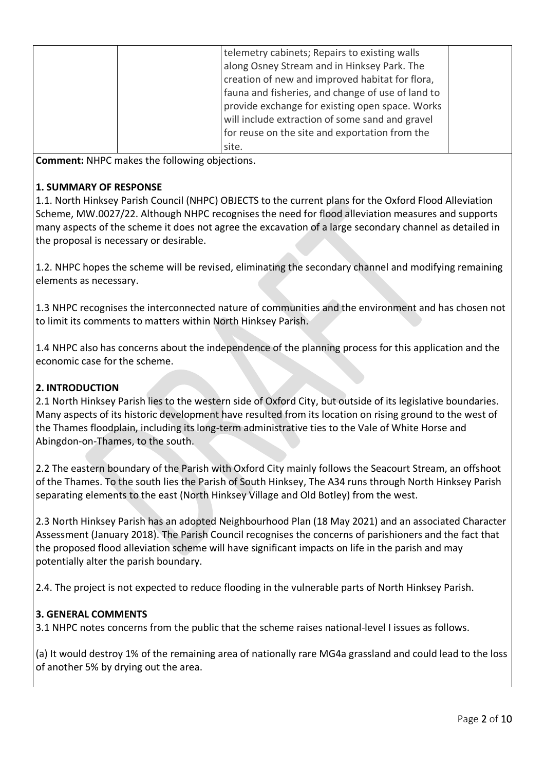| telemetry cabinets; Repairs to existing walls     |  |
|---------------------------------------------------|--|
| along Osney Stream and in Hinksey Park. The       |  |
| creation of new and improved habitat for flora,   |  |
| fauna and fisheries, and change of use of land to |  |
| provide exchange for existing open space. Works   |  |
| will include extraction of some sand and gravel   |  |
| for reuse on the site and exportation from the    |  |
| site.                                             |  |

**Comment:** NHPC makes the following objections.

#### **1. SUMMARY OF RESPONSE**

1.1. North Hinksey Parish Council (NHPC) OBJECTS to the current plans for the Oxford Flood Alleviation Scheme, MW.0027/22. Although NHPC recognises the need for flood alleviation measures and supports many aspects of the scheme it does not agree the excavation of a large secondary channel as detailed in the proposal is necessary or desirable.

1.2. NHPC hopes the scheme will be revised, eliminating the secondary channel and modifying remaining elements as necessary.

1.3 NHPC recognises the interconnected nature of communities and the environment and has chosen not to limit its comments to matters within North Hinksey Parish.

1.4 NHPC also has concerns about the independence of the planning process for this application and the economic case for the scheme.

#### **2. INTRODUCTION**

2.1 North Hinksey Parish lies to the western side of Oxford City, but outside of its legislative boundaries. Many aspects of its historic development have resulted from its location on rising ground to the west of the Thames floodplain, including its long-term administrative ties to the Vale of White Horse and Abingdon-on-Thames, to the south.

2.2 The eastern boundary of the Parish with Oxford City mainly follows the Seacourt Stream, an offshoot of the Thames. To the south lies the Parish of South Hinksey, The A34 runs through North Hinksey Parish separating elements to the east (North Hinksey Village and Old Botley) from the west.

2.3 North Hinksey Parish has an adopted Neighbourhood Plan (18 May 2021) and an associated Character Assessment (January 2018). The Parish Council recognises the concerns of parishioners and the fact that the proposed flood alleviation scheme will have significant impacts on life in the parish and may potentially alter the parish boundary.

2.4. The project is not expected to reduce flooding in the vulnerable parts of North Hinksey Parish.

#### **3. GENERAL COMMENTS**

3.1 NHPC notes concerns from the public that the scheme raises national-level I issues as follows.

(a) It would destroy 1% of the remaining area of nationally rare MG4a grassland and could lead to the loss of another 5% by drying out the area.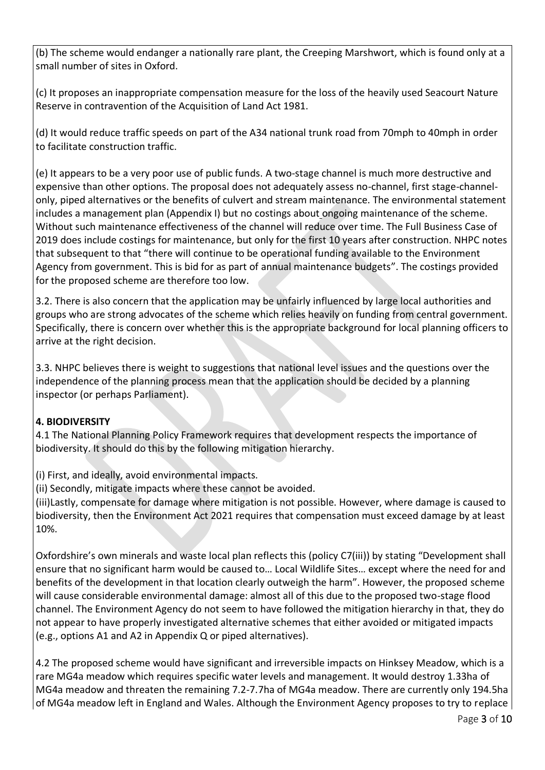(b) The scheme would endanger a nationally rare plant, the Creeping Marshwort, which is found only at a small number of sites in Oxford.

(c) It proposes an inappropriate compensation measure for the loss of the heavily used Seacourt Nature Reserve in contravention of the Acquisition of Land Act 1981.

(d) It would reduce traffic speeds on part of the A34 national trunk road from 70mph to 40mph in order to facilitate construction traffic.

(e) It appears to be a very poor use of public funds. A two-stage channel is much more destructive and expensive than other options. The proposal does not adequately assess no-channel, first stage-channelonly, piped alternatives or the benefits of culvert and stream maintenance. The environmental statement includes a management plan (Appendix I) but no costings about ongoing maintenance of the scheme. Without such maintenance effectiveness of the channel will reduce over time. The Full Business Case of 2019 does include costings for maintenance, but only for the first 10 years after construction. NHPC notes that subsequent to that "there will continue to be operational funding available to the Environment Agency from government. This is bid for as part of annual maintenance budgets". The costings provided for the proposed scheme are therefore too low.

3.2. There is also concern that the application may be unfairly influenced by large local authorities and groups who are strong advocates of the scheme which relies heavily on funding from central government. Specifically, there is concern over whether this is the appropriate background for local planning officers to arrive at the right decision.

3.3. NHPC believes there is weight to suggestions that national level issues and the questions over the independence of the planning process mean that the application should be decided by a planning inspector (or perhaps Parliament).

### **4. BIODIVERSITY**

4.1 The National Planning Policy Framework requires that development respects the importance of biodiversity. It should do this by the following mitigation hierarchy.

(i) First, and ideally, avoid environmental impacts.

(ii) Secondly, mitigate impacts where these cannot be avoided.

(iii)Lastly, compensate for damage where mitigation is not possible. However, where damage is caused to biodiversity, then the Environment Act 2021 requires that compensation must exceed damage by at least 10%.

Oxfordshire's own minerals and waste local plan reflects this (policy C7(iii)) by stating "Development shall ensure that no significant harm would be caused to… Local Wildlife Sites… except where the need for and benefits of the development in that location clearly outweigh the harm". However, the proposed scheme will cause considerable environmental damage: almost all of this due to the proposed two-stage flood channel. The Environment Agency do not seem to have followed the mitigation hierarchy in that, they do not appear to have properly investigated alternative schemes that either avoided or mitigated impacts (e.g., options A1 and A2 in Appendix Q or piped alternatives).

4.2 The proposed scheme would have significant and irreversible impacts on Hinksey Meadow, which is a rare MG4a meadow which requires specific water levels and management. It would destroy 1.33ha of MG4a meadow and threaten the remaining 7.2-7.7ha of MG4a meadow. There are currently only 194.5ha of MG4a meadow left in England and Wales. Although the Environment Agency proposes to try to replace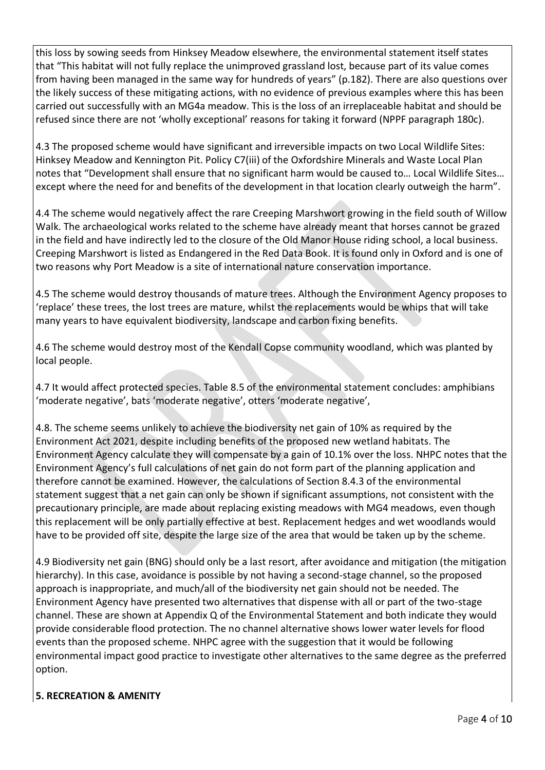this loss by sowing seeds from Hinksey Meadow elsewhere, the environmental statement itself states that "This habitat will not fully replace the unimproved grassland lost, because part of its value comes from having been managed in the same way for hundreds of years" (p.182). There are also questions over the likely success of these mitigating actions, with no evidence of previous examples where this has been carried out successfully with an MG4a meadow. This is the loss of an irreplaceable habitat and should be refused since there are not 'wholly exceptional' reasons for taking it forward (NPPF paragraph 180c).

4.3 The proposed scheme would have significant and irreversible impacts on two Local Wildlife Sites: Hinksey Meadow and Kennington Pit. Policy C7(iii) of the Oxfordshire Minerals and Waste Local Plan notes that "Development shall ensure that no significant harm would be caused to… Local Wildlife Sites… except where the need for and benefits of the development in that location clearly outweigh the harm".

4.4 The scheme would negatively affect the rare Creeping Marshwort growing in the field south of Willow Walk. The archaeological works related to the scheme have already meant that horses cannot be grazed in the field and have indirectly led to the closure of the Old Manor House riding school, a local business. Creeping Marshwort is listed as Endangered in the Red Data Book. It is found only in Oxford and is one of two reasons why Port Meadow is a site of international nature conservation importance.

4.5 The scheme would destroy thousands of mature trees. Although the Environment Agency proposes to 'replace' these trees, the lost trees are mature, whilst the replacements would be whips that will take many years to have equivalent biodiversity, landscape and carbon fixing benefits.

4.6 The scheme would destroy most of the Kendall Copse community woodland, which was planted by local people.

4.7 It would affect protected species. Table 8.5 of the environmental statement concludes: amphibians 'moderate negative', bats 'moderate negative', otters 'moderate negative',

4.8. The scheme seems unlikely to achieve the biodiversity net gain of 10% as required by the Environment Act 2021, despite including benefits of the proposed new wetland habitats. The Environment Agency calculate they will compensate by a gain of 10.1% over the loss. NHPC notes that the Environment Agency's full calculations of net gain do not form part of the planning application and therefore cannot be examined. However, the calculations of Section 8.4.3 of the environmental statement suggest that a net gain can only be shown if significant assumptions, not consistent with the precautionary principle, are made about replacing existing meadows with MG4 meadows, even though this replacement will be only partially effective at best. Replacement hedges and wet woodlands would have to be provided off site, despite the large size of the area that would be taken up by the scheme.

4.9 Biodiversity net gain (BNG) should only be a last resort, after avoidance and mitigation (the mitigation hierarchy). In this case, avoidance is possible by not having a second-stage channel, so the proposed approach is inappropriate, and much/all of the biodiversity net gain should not be needed. The Environment Agency have presented two alternatives that dispense with all or part of the two-stage channel. These are shown at Appendix Q of the Environmental Statement and both indicate they would provide considerable flood protection. The no channel alternative shows lower water levels for flood events than the proposed scheme. NHPC agree with the suggestion that it would be following environmental impact good practice to investigate other alternatives to the same degree as the preferred option.

### **5. RECREATION & AMENITY**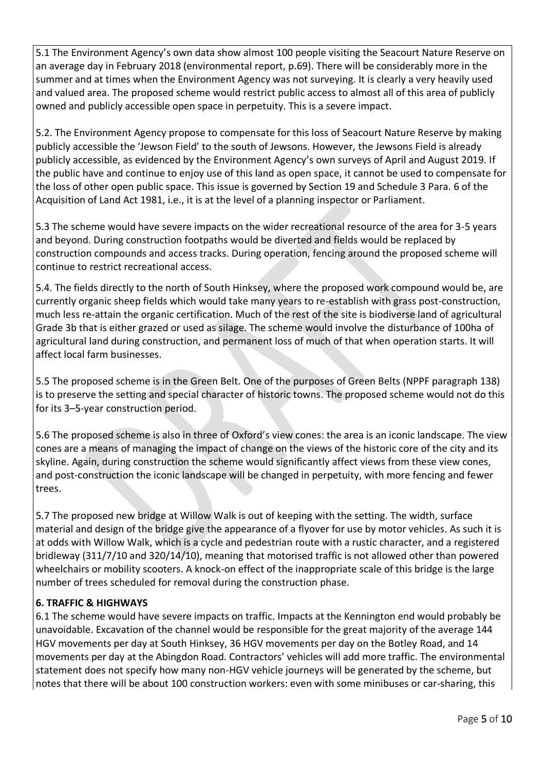5.1 The Environment Agency's own data show almost 100 people visiting the Seacourt Nature Reserve on an average day in February 2018 (environmental report, p.69). There will be considerably more in the summer and at times when the Environment Agency was not surveying. It is clearly a very heavily used and valued area. The proposed scheme would restrict public access to almost all of this area of publicly owned and publicly accessible open space in perpetuity. This is a severe impact.

5.2. The Environment Agency propose to compensate for this loss of Seacourt Nature Reserve by making publicly accessible the 'Jewson Field' to the south of Jewsons. However, the Jewsons Field is already publicly accessible, as evidenced by the Environment Agency's own surveys of April and August 2019. If the public have and continue to enjoy use of this land as open space, it cannot be used to compensate for the loss of other open public space. This issue is governed by Section 19 and Schedule 3 Para. 6 of the Acquisition of Land Act 1981, i.e., it is at the level of a planning inspector or Parliament.

5.3 The scheme would have severe impacts on the wider recreational resource of the area for 3-5 years and beyond. During construction footpaths would be diverted and fields would be replaced by construction compounds and access tracks. During operation, fencing around the proposed scheme will continue to restrict recreational access.

5.4. The fields directly to the north of South Hinksey, where the proposed work compound would be, are currently organic sheep fields which would take many years to re-establish with grass post-construction, much less re-attain the organic certification. Much of the rest of the site is biodiverse land of agricultural Grade 3b that is either grazed or used as silage. The scheme would involve the disturbance of 100ha of agricultural land during construction, and permanent loss of much of that when operation starts. It will affect local farm businesses.

5.5 The proposed scheme is in the Green Belt. One of the purposes of Green Belts (NPPF paragraph 138) is to preserve the setting and special character of historic towns. The proposed scheme would not do this for its 3–5-year construction period.

5.6 The proposed scheme is also in three of Oxford's view cones: the area is an iconic landscape. The view cones are a means of managing the impact of change on the views of the historic core of the city and its skyline. Again, during construction the scheme would significantly affect views from these view cones, and post-construction the iconic landscape will be changed in perpetuity, with more fencing and fewer trees.

5.7 The proposed new bridge at Willow Walk is out of keeping with the setting. The width, surface material and design of the bridge give the appearance of a flyover for use by motor vehicles. As such it is at odds with Willow Walk, which is a cycle and pedestrian route with a rustic character, and a registered bridleway (311/7/10 and 320/14/10), meaning that motorised traffic is not allowed other than powered wheelchairs or mobility scooters. A knock-on effect of the inappropriate scale of this bridge is the large number of trees scheduled for removal during the construction phase.

#### **6. TRAFFIC & HIGHWAYS**

6.1 The scheme would have severe impacts on traffic. Impacts at the Kennington end would probably be unavoidable. Excavation of the channel would be responsible for the great majority of the average 144 HGV movements per day at South Hinksey, 36 HGV movements per day on the Botley Road, and 14 movements per day at the Abingdon Road. Contractors' vehicles will add more traffic. The environmental statement does not specify how many non-HGV vehicle journeys will be generated by the scheme, but notes that there will be about 100 construction workers: even with some minibuses or car-sharing, this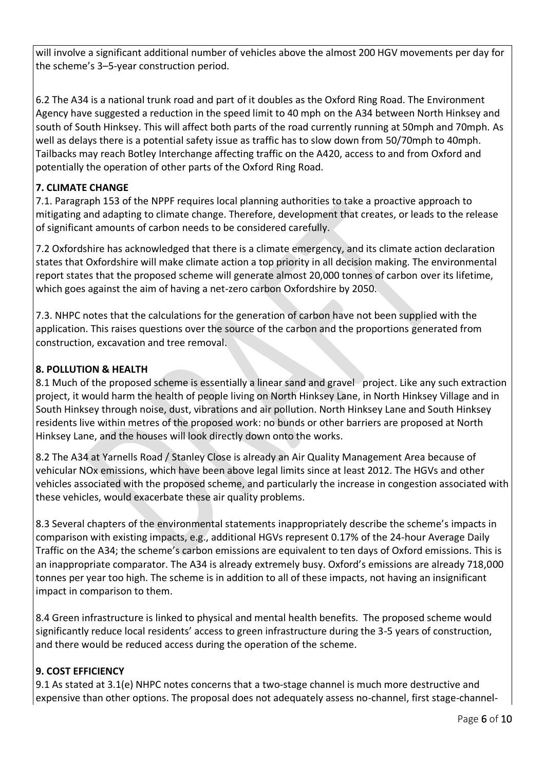will involve a significant additional number of vehicles above the almost 200 HGV movements per day for the scheme's 3–5-year construction period.

6.2 The A34 is a national trunk road and part of it doubles as the Oxford Ring Road. The Environment Agency have suggested a reduction in the speed limit to 40 mph on the A34 between North Hinksey and south of South Hinksey. This will affect both parts of the road currently running at 50mph and 70mph. As well as delays there is a potential safety issue as traffic has to slow down from 50/70mph to 40mph. Tailbacks may reach Botley Interchange affecting traffic on the A420, access to and from Oxford and potentially the operation of other parts of the Oxford Ring Road.

### **7. CLIMATE CHANGE**

7.1. Paragraph 153 of the NPPF requires local planning authorities to take a proactive approach to mitigating and adapting to climate change. Therefore, development that creates, or leads to the release of significant amounts of carbon needs to be considered carefully.

7.2 Oxfordshire has acknowledged that there is a climate emergency, and its climate action declaration states that Oxfordshire will make climate action a top priority in all decision making. The environmental report states that the proposed scheme will generate almost 20,000 tonnes of carbon over its lifetime, which goes against the aim of having a net-zero carbon Oxfordshire by 2050.

7.3. NHPC notes that the calculations for the generation of carbon have not been supplied with the application. This raises questions over the source of the carbon and the proportions generated from construction, excavation and tree removal.

## **8. POLLUTION & HEALTH**

8.1 Much of the proposed scheme is essentially a linear sand and gravel project. Like any such extraction project, it would harm the health of people living on North Hinksey Lane, in North Hinksey Village and in South Hinksey through noise, dust, vibrations and air pollution. North Hinksey Lane and South Hinksey residents live within metres of the proposed work: no bunds or other barriers are proposed at North Hinksey Lane, and the houses will look directly down onto the works.

8.2 The A34 at Yarnells Road / Stanley Close is already an Air Quality Management Area because of vehicular NOx emissions, which have been above legal limits since at least 2012. The HGVs and other vehicles associated with the proposed scheme, and particularly the increase in congestion associated with these vehicles, would exacerbate these air quality problems.

8.3 Several chapters of the environmental statements inappropriately describe the scheme's impacts in comparison with existing impacts, e.g., additional HGVs represent 0.17% of the 24-hour Average Daily Traffic on the A34; the scheme's carbon emissions are equivalent to ten days of Oxford emissions. This is an inappropriate comparator. The A34 is already extremely busy. Oxford's emissions are already 718,000 tonnes per year too high. The scheme is in addition to all of these impacts, not having an insignificant impact in comparison to them.

8.4 Green infrastructure is linked to physical and mental health benefits. The proposed scheme would significantly reduce local residents' access to green infrastructure during the 3-5 years of construction, and there would be reduced access during the operation of the scheme.

## **9. COST EFFICIENCY**

9.1 As stated at 3.1(e) NHPC notes concerns that a two-stage channel is much more destructive and expensive than other options. The proposal does not adequately assess no-channel, first stage-channel-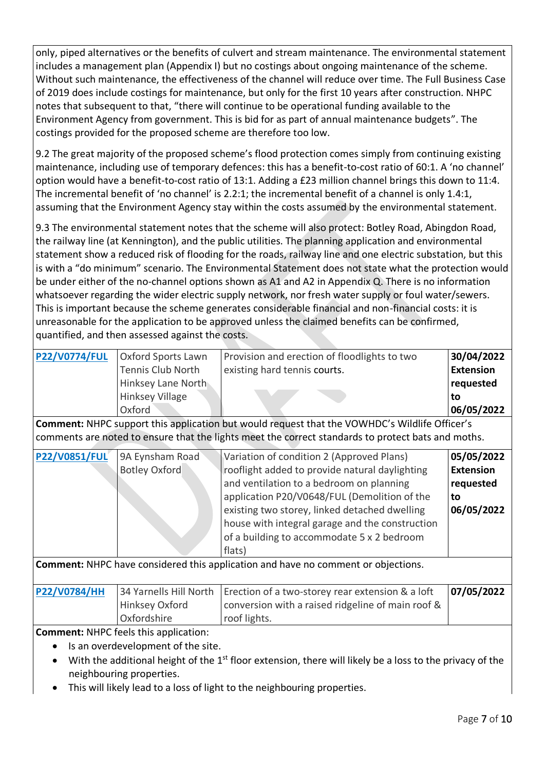only, piped alternatives or the benefits of culvert and stream maintenance. The environmental statement includes a management plan (Appendix I) but no costings about ongoing maintenance of the scheme. Without such maintenance, the effectiveness of the channel will reduce over time. The Full Business Case of 2019 does include costings for maintenance, but only for the first 10 years after construction. NHPC notes that subsequent to that, "there will continue to be operational funding available to the Environment Agency from government. This is bid for as part of annual maintenance budgets". The costings provided for the proposed scheme are therefore too low.

9.2 The great majority of the proposed scheme's flood protection comes simply from continuing existing maintenance, including use of temporary defences: this has a benefit-to-cost ratio of 60:1. A 'no channel' option would have a benefit-to-cost ratio of 13:1. Adding a £23 million channel brings this down to 11:4. The incremental benefit of 'no channel' is 2.2:1; the incremental benefit of a channel is only 1.4:1, assuming that the Environment Agency stay within the costs assumed by the environmental statement.

9.3 The environmental statement notes that the scheme will also protect: Botley Road, Abingdon Road, the railway line (at Kennington), and the public utilities. The planning application and environmental statement show a reduced risk of flooding for the roads, railway line and one electric substation, but this is with a "do minimum" scenario. The Environmental Statement does not state what the protection would be under either of the no-channel options shown as A1 and A2 in Appendix Q. There is no information whatsoever regarding the wider electric supply network, nor fresh water supply or foul water/sewers. This is important because the scheme generates considerable financial and non-financial costs: it is unreasonable for the application to be approved unless the claimed benefits can be confirmed, quantified, and then assessed against the costs.

| <b>P22/V0774/FUL</b> | Oxford Sports Lawn     | Provision and erection of floodlights to two | 30/04/2022       |
|----------------------|------------------------|----------------------------------------------|------------------|
|                      | Tennis Club North      | existing hard tennis courts.                 | <b>Extension</b> |
|                      | Hinksey Lane North     |                                              | requested        |
|                      | <b>Hinksey Village</b> |                                              | to               |
|                      | Oxford                 |                                              | 06/05/2022       |

**Comment:** NHPC support this application but would request that the VOWHDC's Wildlife Officer's comments are noted to ensure that the lights meet the correct standards to protect bats and moths.

| <b>P22/V0851/FUL</b> | 9A Eynsham Road      | Variation of condition 2 (Approved Plans)       | 05/05/2022       |
|----------------------|----------------------|-------------------------------------------------|------------------|
|                      | <b>Botley Oxford</b> | rooflight added to provide natural daylighting  | <b>Extension</b> |
|                      |                      | and ventilation to a bedroom on planning        | requested        |
|                      |                      | application P20/V0648/FUL (Demolition of the    | l to             |
|                      |                      | existing two storey, linked detached dwelling   | 06/05/2022       |
|                      |                      | house with integral garage and the construction |                  |
|                      |                      | of a building to accommodate 5 x 2 bedroom      |                  |
|                      |                      | flats)                                          |                  |

**Comment:** NHPC have considered this application and have no comment or objections.

| <b>P22/V0784/HH</b> |                | 34 Yarnells Hill North   Erection of a two-storey rear extension & a loft | 07/05/2022 |
|---------------------|----------------|---------------------------------------------------------------------------|------------|
|                     | Hinksey Oxford | conversion with a raised ridgeline of main roof &                         |            |
|                     | Oxfordshire    | roof lights.                                                              |            |

**Comment:** NHPC feels this application:

- Is an overdevelopment of the site.
- $\bullet$  With the additional height of the 1<sup>st</sup> floor extension, there will likely be a loss to the privacy of the neighbouring properties.
- This will likely lead to a loss of light to the neighbouring properties.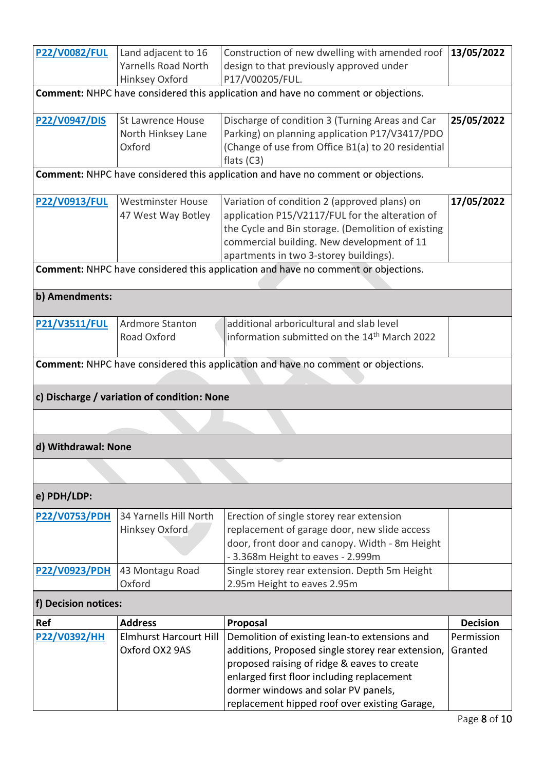| <b>P22/V0082/FUL</b> | Land adjacent to 16                         | Construction of new dwelling with amended roof                                           | 13/05/2022      |  |
|----------------------|---------------------------------------------|------------------------------------------------------------------------------------------|-----------------|--|
|                      | <b>Yarnells Road North</b>                  | design to that previously approved under                                                 |                 |  |
|                      | Hinksey Oxford                              | P17/V00205/FUL.                                                                          |                 |  |
|                      |                                             | <b>Comment:</b> NHPC have considered this application and have no comment or objections. |                 |  |
| P22/V0947/DIS        | <b>St Lawrence House</b>                    | Discharge of condition 3 (Turning Areas and Car                                          | 25/05/2022      |  |
|                      | North Hinksey Lane                          | Parking) on planning application P17/V3417/PDO                                           |                 |  |
|                      | Oxford                                      | (Change of use from Office B1(a) to 20 residential                                       |                 |  |
|                      |                                             | flats $(C3)$                                                                             |                 |  |
|                      |                                             | <b>Comment:</b> NHPC have considered this application and have no comment or objections. |                 |  |
| <b>P22/V0913/FUL</b> | <b>Westminster House</b>                    | Variation of condition 2 (approved plans) on                                             | 17/05/2022      |  |
|                      | 47 West Way Botley                          | application P15/V2117/FUL for the alteration of                                          |                 |  |
|                      |                                             | the Cycle and Bin storage. (Demolition of existing                                       |                 |  |
|                      |                                             | commercial building. New development of 11                                               |                 |  |
|                      |                                             | apartments in two 3-storey buildings).                                                   |                 |  |
|                      |                                             | Comment: NHPC have considered this application and have no comment or objections.        |                 |  |
|                      |                                             |                                                                                          |                 |  |
| b) Amendments:       |                                             |                                                                                          |                 |  |
| <b>P21/V3511/FUL</b> | Ardmore Stanton                             | additional arboricultural and slab level                                                 |                 |  |
|                      | Road Oxford                                 | information submitted on the 14 <sup>th</sup> March 2022                                 |                 |  |
|                      |                                             |                                                                                          |                 |  |
|                      |                                             | <b>Comment:</b> NHPC have considered this application and have no comment or objections. |                 |  |
|                      | c) Discharge / variation of condition: None |                                                                                          |                 |  |
|                      |                                             |                                                                                          |                 |  |
| d) Withdrawal: None  |                                             |                                                                                          |                 |  |
|                      |                                             |                                                                                          |                 |  |
| e) PDH/LDP:          |                                             |                                                                                          |                 |  |
| <b>P22/V0753/PDH</b> | 34 Yarnells Hill North                      | Erection of single storey rear extension                                                 |                 |  |
|                      | Hinksey Oxford                              | replacement of garage door, new slide access                                             |                 |  |
|                      |                                             | door, front door and canopy. Width - 8m Height                                           |                 |  |
|                      |                                             | - 3.368m Height to eaves - 2.999m                                                        |                 |  |
| <b>P22/V0923/PDH</b> | 43 Montagu Road                             | Single storey rear extension. Depth 5m Height                                            |                 |  |
|                      | Oxford                                      | 2.95m Height to eaves 2.95m                                                              |                 |  |
| f) Decision notices: |                                             |                                                                                          |                 |  |
| Ref                  | <b>Address</b>                              | Proposal                                                                                 | <b>Decision</b> |  |
| <b>P22/V0392/HH</b>  | <b>Elmhurst Harcourt Hill</b>               | Demolition of existing lean-to extensions and                                            | Permission      |  |
|                      | Oxford OX2 9AS                              | additions, Proposed single storey rear extension,                                        | Granted         |  |
|                      |                                             | proposed raising of ridge & eaves to create                                              |                 |  |
|                      |                                             | enlarged first floor including replacement                                               |                 |  |
|                      |                                             | dormer windows and solar PV panels,                                                      |                 |  |
|                      |                                             | replacement hipped roof over existing Garage,                                            |                 |  |
|                      |                                             |                                                                                          |                 |  |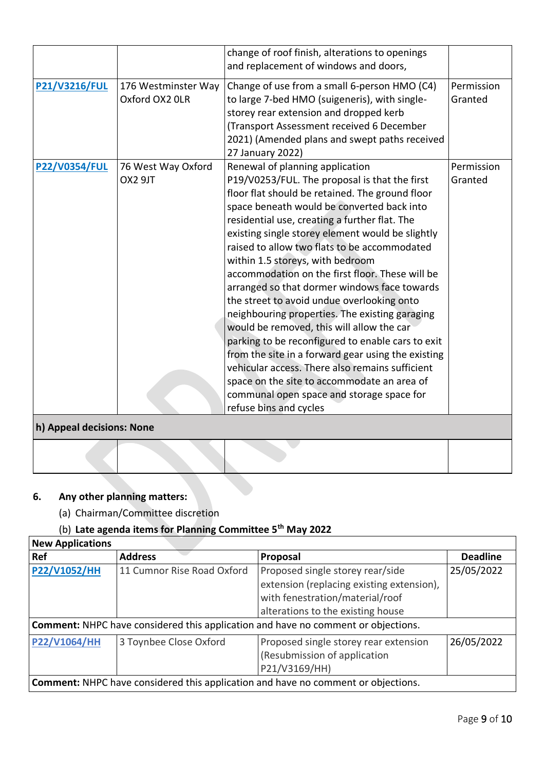|                                                   |                                       | change of roof finish, alterations to openings<br>and replacement of windows and doors,                                                                                                                                                                                                                                                                                                                                                                                                                                                                                                                                                                                                                                                                                                                                                                                                                        |                       |
|---------------------------------------------------|---------------------------------------|----------------------------------------------------------------------------------------------------------------------------------------------------------------------------------------------------------------------------------------------------------------------------------------------------------------------------------------------------------------------------------------------------------------------------------------------------------------------------------------------------------------------------------------------------------------------------------------------------------------------------------------------------------------------------------------------------------------------------------------------------------------------------------------------------------------------------------------------------------------------------------------------------------------|-----------------------|
| P21/V3216/FUL                                     | 176 Westminster Way<br>Oxford OX2 OLR | Change of use from a small 6-person HMO (C4)<br>to large 7-bed HMO (suigeneris), with single-<br>storey rear extension and dropped kerb<br>(Transport Assessment received 6 December<br>2021) (Amended plans and swept paths received<br>27 January 2022)                                                                                                                                                                                                                                                                                                                                                                                                                                                                                                                                                                                                                                                      | Permission<br>Granted |
| <b>P22/V0354/FUL</b><br>h) Appeal decisions: None | 76 West Way Oxford<br>OX2 9JT         | Renewal of planning application<br>P19/V0253/FUL. The proposal is that the first<br>floor flat should be retained. The ground floor<br>space beneath would be converted back into<br>residential use, creating a further flat. The<br>existing single storey element would be slightly<br>raised to allow two flats to be accommodated<br>within 1.5 storeys, with bedroom<br>accommodation on the first floor. These will be<br>arranged so that dormer windows face towards<br>the street to avoid undue overlooking onto<br>neighbouring properties. The existing garaging<br>would be removed, this will allow the car<br>parking to be reconfigured to enable cars to exit<br>from the site in a forward gear using the existing<br>vehicular access. There also remains sufficient<br>space on the site to accommodate an area of<br>communal open space and storage space for<br>refuse bins and cycles | Permission<br>Granted |
|                                                   |                                       |                                                                                                                                                                                                                                                                                                                                                                                                                                                                                                                                                                                                                                                                                                                                                                                                                                                                                                                |                       |

# **6. Any other planning matters:**

(a) Chairman/Committee discretion

## (b) **Late agenda items for Planning Committee 5th May 2022**

| <b>New Applications</b>                                                                  |                            |                                           |                 |  |
|------------------------------------------------------------------------------------------|----------------------------|-------------------------------------------|-----------------|--|
| Ref                                                                                      | <b>Address</b>             | Proposal                                  | <b>Deadline</b> |  |
| <b>P22/V1052/HH</b>                                                                      | 11 Cumnor Rise Road Oxford | Proposed single storey rear/side          | 25/05/2022      |  |
|                                                                                          |                            | extension (replacing existing extension), |                 |  |
|                                                                                          |                            | with fenestration/material/roof           |                 |  |
|                                                                                          |                            | alterations to the existing house         |                 |  |
| <b>Comment:</b> NHPC have considered this application and have no comment or objections. |                            |                                           |                 |  |
| <b>P22/V1064/HH</b>                                                                      | 3 Toynbee Close Oxford     | Proposed single storey rear extension     | 26/05/2022      |  |
|                                                                                          |                            | (Resubmission of application              |                 |  |
|                                                                                          |                            | P21/V3169/HH)                             |                 |  |
| <b>Comment:</b> NHPC have considered this application and have no comment or objections. |                            |                                           |                 |  |